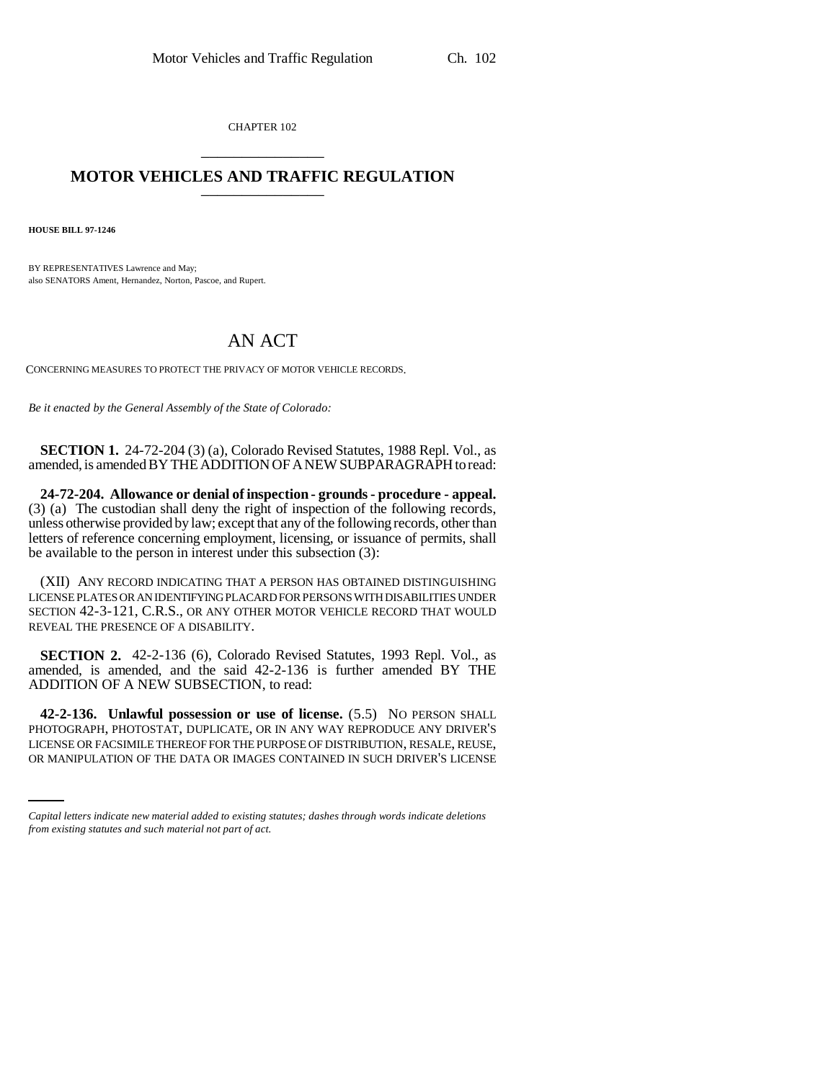CHAPTER 102 \_\_\_\_\_\_\_\_\_\_\_\_\_\_\_

## **MOTOR VEHICLES AND TRAFFIC REGULATION** \_\_\_\_\_\_\_\_\_\_\_\_\_\_\_

**HOUSE BILL 97-1246**

BY REPRESENTATIVES Lawrence and May; also SENATORS Ament, Hernandez, Norton, Pascoe, and Rupert.

## AN ACT

CONCERNING MEASURES TO PROTECT THE PRIVACY OF MOTOR VEHICLE RECORDS.

*Be it enacted by the General Assembly of the State of Colorado:*

**SECTION 1.** 24-72-204 (3) (a), Colorado Revised Statutes, 1988 Repl. Vol., as amended, is amended BY THE ADDITION OF A NEW SUBPARAGRAPH to read:

**24-72-204. Allowance or denial of inspection - grounds - procedure - appeal.** (3) (a) The custodian shall deny the right of inspection of the following records, unless otherwise provided by law; except that any of the following records, other than letters of reference concerning employment, licensing, or issuance of permits, shall be available to the person in interest under this subsection (3):

(XII) ANY RECORD INDICATING THAT A PERSON HAS OBTAINED DISTINGUISHING LICENSE PLATES OR AN IDENTIFYING PLACARD FOR PERSONS WITH DISABILITIES UNDER SECTION 42-3-121, C.R.S., OR ANY OTHER MOTOR VEHICLE RECORD THAT WOULD REVEAL THE PRESENCE OF A DISABILITY.

**SECTION 2.** 42-2-136 (6), Colorado Revised Statutes, 1993 Repl. Vol., as amended, is amended, and the said 42-2-136 is further amended BY THE ADDITION OF A NEW SUBSECTION, to read:

PHOTOGRAPH, PHOTOSTAT, DUPLICATE, OR IN ANY WAY REPRODUCE ANY DRIVER'S **42-2-136. Unlawful possession or use of license.** (5.5) NO PERSON SHALL LICENSE OR FACSIMILE THEREOF FOR THE PURPOSE OF DISTRIBUTION, RESALE, REUSE, OR MANIPULATION OF THE DATA OR IMAGES CONTAINED IN SUCH DRIVER'S LICENSE

*Capital letters indicate new material added to existing statutes; dashes through words indicate deletions from existing statutes and such material not part of act.*